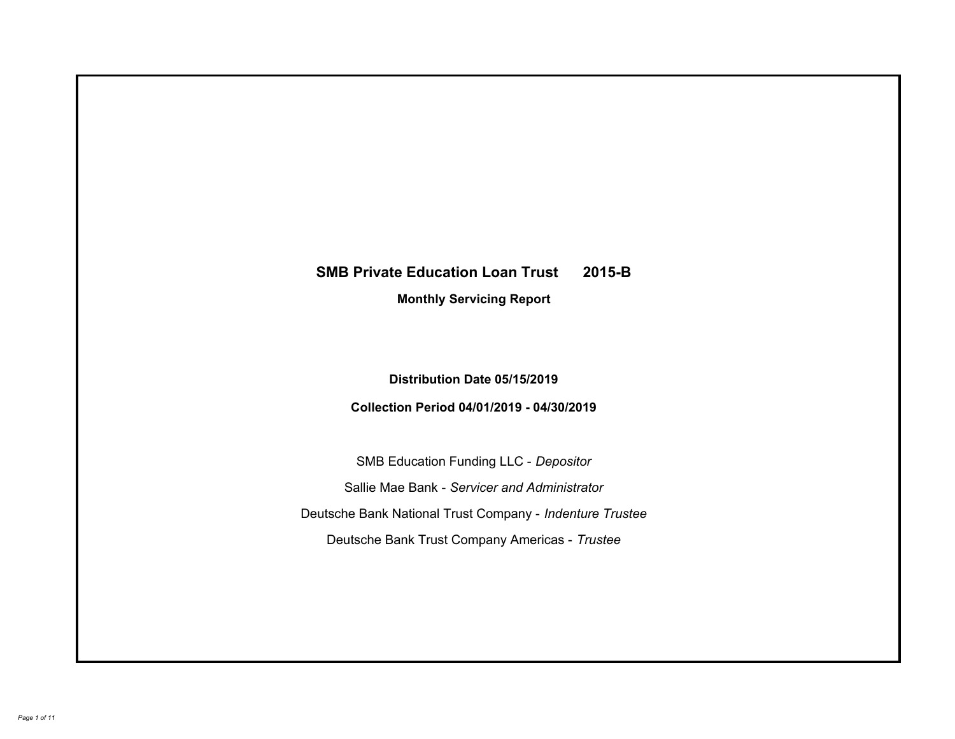# **SMB Private Education Loan Trust 2015-B Monthly Servicing Report**

## **Distribution Date 05/15/2019**

## **Collection Period 04/01/2019 - 04/30/2019**

SMB Education Funding LLC - *Depositor* Sallie Mae Bank - *Servicer and Administrator* Deutsche Bank National Trust Company - *Indenture Trustee* Deutsche Bank Trust Company Americas - *Trustee*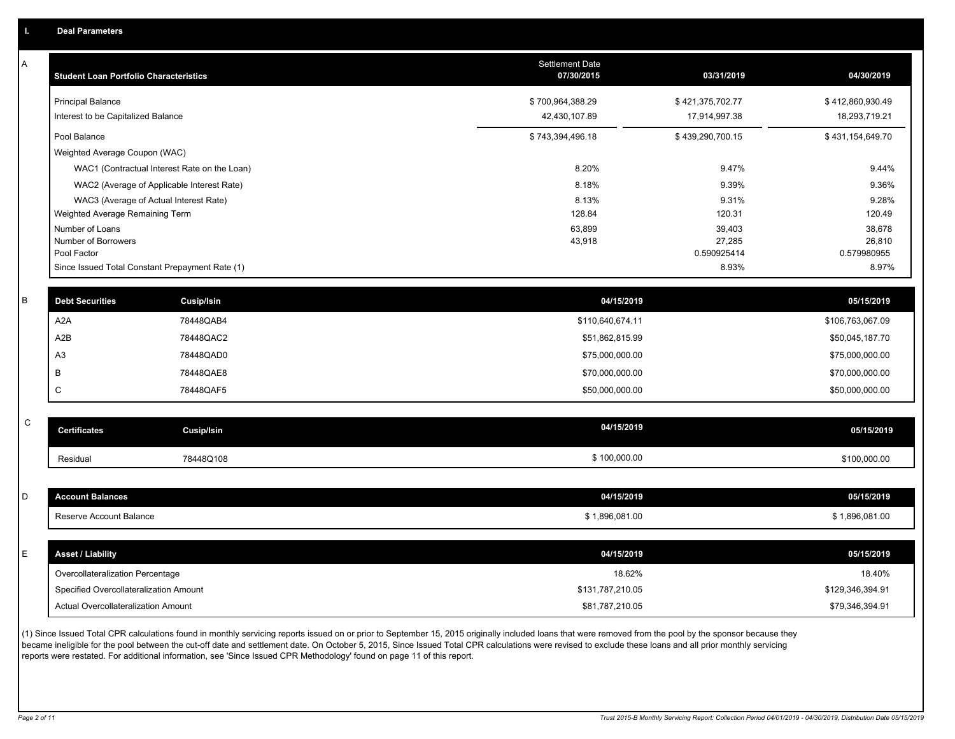| Α           | <b>Student Loan Portfolio Characteristics</b>   |                                              | Settlement Date<br>07/30/2015 | 03/31/2019            | 04/30/2019            |
|-------------|-------------------------------------------------|----------------------------------------------|-------------------------------|-----------------------|-----------------------|
|             | <b>Principal Balance</b>                        |                                              | \$700,964,388.29              | \$421,375,702.77      | \$412,860,930.49      |
|             | Interest to be Capitalized Balance              |                                              | 42,430,107.89                 | 17,914,997.38         | 18,293,719.21         |
|             | Pool Balance                                    |                                              | \$743,394,496.18              | \$439,290,700.15      | \$431,154,649.70      |
|             | Weighted Average Coupon (WAC)                   |                                              |                               |                       |                       |
|             |                                                 | WAC1 (Contractual Interest Rate on the Loan) | 8.20%                         | 9.47%                 | 9.44%                 |
|             |                                                 | WAC2 (Average of Applicable Interest Rate)   | 8.18%                         | 9.39%                 | 9.36%                 |
|             | WAC3 (Average of Actual Interest Rate)          |                                              | 8.13%                         | 9.31%                 | 9.28%                 |
|             | Weighted Average Remaining Term                 |                                              | 128.84                        | 120.31                | 120.49                |
|             | Number of Loans                                 |                                              | 63,899                        | 39,403                | 38,678                |
|             | Number of Borrowers<br>Pool Factor              |                                              | 43,918                        | 27,285<br>0.590925414 | 26,810<br>0.579980955 |
|             | Since Issued Total Constant Prepayment Rate (1) |                                              |                               | 8.93%                 | 8.97%                 |
|             |                                                 |                                              |                               |                       |                       |
| В           | <b>Debt Securities</b>                          | <b>Cusip/Isin</b>                            | 04/15/2019                    |                       | 05/15/2019            |
|             | A2A                                             | 78448QAB4                                    | \$110,640,674.11              |                       | \$106,763,067.09      |
|             | A <sub>2</sub> B                                | 78448QAC2                                    | \$51,862,815.99               |                       | \$50,045,187.70       |
|             | A <sub>3</sub>                                  | 78448QAD0                                    | \$75,000,000.00               |                       | \$75,000,000.00       |
|             | B                                               | 78448QAE8                                    | \$70,000,000.00               |                       | \$70,000,000.00       |
|             | C                                               | 78448QAF5                                    | \$50,000,000.00               |                       | \$50,000,000.00       |
|             |                                                 |                                              |                               |                       |                       |
| $\mathsf C$ | <b>Certificates</b>                             | <b>Cusip/Isin</b>                            | 04/15/2019                    |                       | 05/15/2019            |
|             | Residual                                        | 78448Q108                                    | \$100,000.00                  |                       | \$100,000.00          |
|             |                                                 |                                              |                               |                       |                       |
| D           | <b>Account Balances</b>                         |                                              | 04/15/2019                    |                       | 05/15/2019            |
|             | Reserve Account Balance                         |                                              | \$1,896,081.00                |                       | \$1,896,081.00        |
|             |                                                 |                                              |                               |                       |                       |
| E           | <b>Asset / Liability</b>                        |                                              | 04/15/2019                    |                       | 05/15/2019            |
|             | Overcollateralization Percentage                |                                              | 18.62%                        |                       | 18.40%                |
|             | Specified Overcollateralization Amount          |                                              | \$131,787,210.05              |                       | \$129,346,394.91      |
|             | Actual Overcollateralization Amount             |                                              | \$81,787,210.05               |                       | \$79,346,394.91       |

(1) Since Issued Total CPR calculations found in monthly servicing reports issued on or prior to September 15, 2015 originally included loans that were removed from the pool by the sponsor because they became ineligible for the pool between the cut-off date and settlement date. On October 5, 2015, Since Issued Total CPR calculations were revised to exclude these loans and all prior monthly servicing reports were restated. For additional information, see 'Since Issued CPR Methodology' found on page 11 of this report.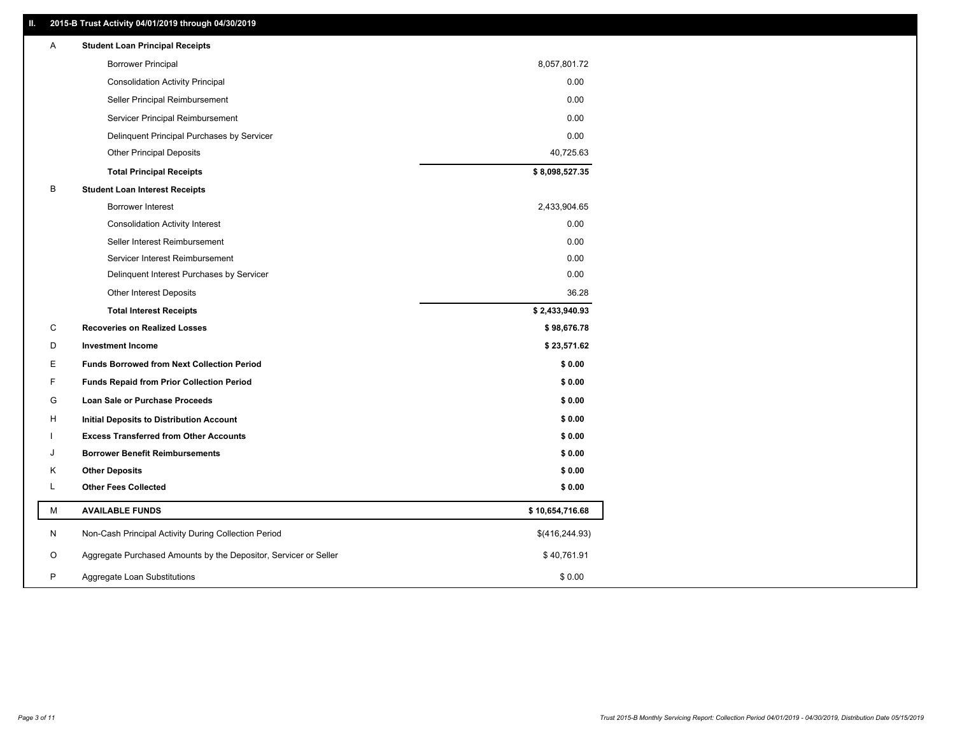### **II. 2015-B Trust Activity 04/01/2019 through 04/30/2019**

| Α | <b>Student Loan Principal Receipts</b>                           |                 |
|---|------------------------------------------------------------------|-----------------|
|   | <b>Borrower Principal</b>                                        | 8,057,801.72    |
|   | <b>Consolidation Activity Principal</b>                          | 0.00            |
|   | Seller Principal Reimbursement                                   | 0.00            |
|   | Servicer Principal Reimbursement                                 | 0.00            |
|   | Delinquent Principal Purchases by Servicer                       | 0.00            |
|   | <b>Other Principal Deposits</b>                                  | 40,725.63       |
|   | <b>Total Principal Receipts</b>                                  | \$8,098,527.35  |
| В | <b>Student Loan Interest Receipts</b>                            |                 |
|   | Borrower Interest                                                | 2,433,904.65    |
|   | <b>Consolidation Activity Interest</b>                           | 0.00            |
|   | Seller Interest Reimbursement                                    | 0.00            |
|   | Servicer Interest Reimbursement                                  | 0.00            |
|   | Delinquent Interest Purchases by Servicer                        | 0.00            |
|   | Other Interest Deposits                                          | 36.28           |
|   | <b>Total Interest Receipts</b>                                   | \$2,433,940.93  |
| C | <b>Recoveries on Realized Losses</b>                             | \$98,676.78     |
| D | <b>Investment Income</b>                                         | \$23,571.62     |
| E | <b>Funds Borrowed from Next Collection Period</b>                | \$0.00          |
| F | <b>Funds Repaid from Prior Collection Period</b>                 | \$0.00          |
| G | Loan Sale or Purchase Proceeds                                   | \$0.00          |
| н | Initial Deposits to Distribution Account                         | \$0.00          |
|   | <b>Excess Transferred from Other Accounts</b>                    | \$0.00          |
| J | <b>Borrower Benefit Reimbursements</b>                           | \$0.00          |
| Κ | <b>Other Deposits</b>                                            | \$0.00          |
| L | <b>Other Fees Collected</b>                                      | \$0.00          |
| М | <b>AVAILABLE FUNDS</b>                                           | \$10,654,716.68 |
| N | Non-Cash Principal Activity During Collection Period             | \$(416, 244.93) |
| O | Aggregate Purchased Amounts by the Depositor, Servicer or Seller | \$40,761.91     |
| P | Aggregate Loan Substitutions                                     | \$0.00          |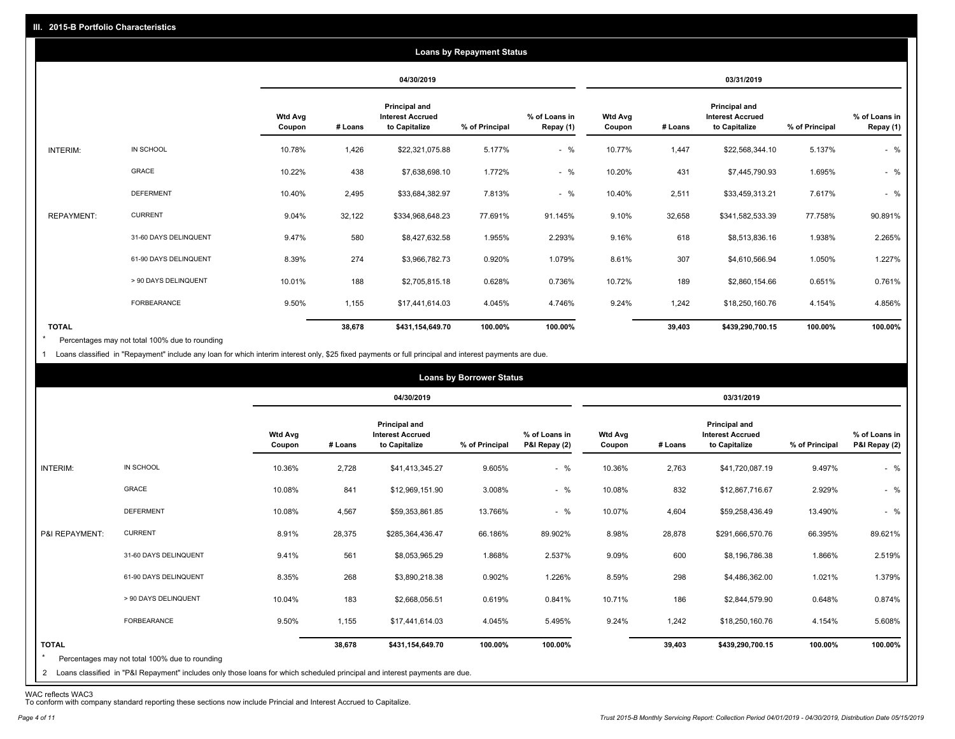|                   |                       |                          |         |                                                           | <b>Loans by Repayment Status</b> |                            |                          |         |                                                                  |                |                            |
|-------------------|-----------------------|--------------------------|---------|-----------------------------------------------------------|----------------------------------|----------------------------|--------------------------|---------|------------------------------------------------------------------|----------------|----------------------------|
|                   |                       |                          |         | 04/30/2019                                                |                                  |                            |                          |         | 03/31/2019                                                       |                |                            |
|                   |                       | <b>Wtd Avg</b><br>Coupon | # Loans | Principal and<br><b>Interest Accrued</b><br>to Capitalize | % of Principal                   | % of Loans in<br>Repay (1) | <b>Wtd Avg</b><br>Coupon | # Loans | <b>Principal and</b><br><b>Interest Accrued</b><br>to Capitalize | % of Principal | % of Loans in<br>Repay (1) |
| INTERIM:          | IN SCHOOL             | 10.78%                   | 1,426   | \$22,321,075.88                                           | 5.177%                           | $-$ %                      | 10.77%                   | 1,447   | \$22,568,344.10                                                  | 5.137%         | $-$ %                      |
|                   | GRACE                 | 10.22%                   | 438     | \$7,638,698.10                                            | 1.772%                           | $-$ %                      | 10.20%                   | 431     | \$7,445,790.93                                                   | 1.695%         | $-$ %                      |
|                   | <b>DEFERMENT</b>      | 10.40%                   | 2,495   | \$33,684,382.97                                           | 7.813%                           | $-$ %                      | 10.40%                   | 2,511   | \$33,459,313.21                                                  | 7.617%         | $-$ %                      |
| <b>REPAYMENT:</b> | <b>CURRENT</b>        | 9.04%                    | 32,122  | \$334,968,648.23                                          | 77.691%                          | 91.145%                    | 9.10%                    | 32,658  | \$341,582,533.39                                                 | 77.758%        | 90.891%                    |
|                   | 31-60 DAYS DELINQUENT | 9.47%                    | 580     | \$8,427,632.58                                            | 1.955%                           | 2.293%                     | 9.16%                    | 618     | \$8,513,836.16                                                   | 1.938%         | 2.265%                     |
|                   | 61-90 DAYS DELINQUENT | 8.39%                    | 274     | \$3,966,782.73                                            | 0.920%                           | 1.079%                     | 8.61%                    | 307     | \$4,610,566.94                                                   | 1.050%         | 1.227%                     |
|                   | > 90 DAYS DELINQUENT  | 10.01%                   | 188     | \$2,705,815.18                                            | 0.628%                           | 0.736%                     | 10.72%                   | 189     | \$2,860,154.66                                                   | 0.651%         | 0.761%                     |
|                   | <b>FORBEARANCE</b>    | 9.50%                    | 1,155   | \$17,441,614.03                                           | 4.045%                           | 4.746%                     | 9.24%                    | 1,242   | \$18,250,160.76                                                  | 4.154%         | 4.856%                     |
| <b>TOTAL</b>      |                       |                          | 38,678  | \$431,154,649.70                                          | 100.00%                          | 100.00%                    |                          | 39,403  | \$439,290,700.15                                                 | 100.00%        | 100.00%                    |

Percentages may not total 100% due to rounding  $\star$ 

1 Loans classified in "Repayment" include any loan for which interim interest only, \$25 fixed payments or full principal and interest payments are due.

|                         |                                                                                                                                                                                |                          |         |                                                                  | <b>Loans by Borrower Status</b> |                                |                          |         |                                                                  |                |                                |
|-------------------------|--------------------------------------------------------------------------------------------------------------------------------------------------------------------------------|--------------------------|---------|------------------------------------------------------------------|---------------------------------|--------------------------------|--------------------------|---------|------------------------------------------------------------------|----------------|--------------------------------|
|                         |                                                                                                                                                                                |                          |         | 04/30/2019                                                       |                                 |                                |                          |         | 03/31/2019                                                       |                |                                |
|                         |                                                                                                                                                                                | <b>Wtd Avg</b><br>Coupon | # Loans | <b>Principal and</b><br><b>Interest Accrued</b><br>to Capitalize | % of Principal                  | % of Loans in<br>P&I Repay (2) | <b>Wtd Avg</b><br>Coupon | # Loans | <b>Principal and</b><br><b>Interest Accrued</b><br>to Capitalize | % of Principal | % of Loans in<br>P&I Repay (2) |
| INTERIM:                | IN SCHOOL                                                                                                                                                                      | 10.36%                   | 2,728   | \$41,413,345.27                                                  | 9.605%                          | $-$ %                          | 10.36%                   | 2,763   | \$41,720,087.19                                                  | 9.497%         | $-$ %                          |
|                         | GRACE                                                                                                                                                                          | 10.08%                   | 841     | \$12,969,151.90                                                  | 3.008%                          | $-$ %                          | 10.08%                   | 832     | \$12,867,716.67                                                  | 2.929%         | $-$ %                          |
|                         | <b>DEFERMENT</b>                                                                                                                                                               | 10.08%                   | 4,567   | \$59,353,861.85                                                  | 13.766%                         | $-$ %                          | 10.07%                   | 4,604   | \$59,258,436.49                                                  | 13.490%        | $-$ %                          |
| P&I REPAYMENT:          | <b>CURRENT</b>                                                                                                                                                                 | 8.91%                    | 28,375  | \$285,364,436.47                                                 | 66.186%                         | 89.902%                        | 8.98%                    | 28,878  | \$291,666,570.76                                                 | 66.395%        | 89.621%                        |
|                         | 31-60 DAYS DELINQUENT                                                                                                                                                          | 9.41%                    | 561     | \$8,053,965.29                                                   | 1.868%                          | 2.537%                         | 9.09%                    | 600     | \$8,196,786.38                                                   | 1.866%         | 2.519%                         |
|                         | 61-90 DAYS DELINQUENT                                                                                                                                                          | 8.35%                    | 268     | \$3,890,218.38                                                   | 0.902%                          | 1.226%                         | 8.59%                    | 298     | \$4,486,362.00                                                   | 1.021%         | 1.379%                         |
|                         | > 90 DAYS DELINQUENT                                                                                                                                                           | 10.04%                   | 183     | \$2,668,056.51                                                   | 0.619%                          | 0.841%                         | 10.71%                   | 186     | \$2,844,579.90                                                   | 0.648%         | 0.874%                         |
|                         | FORBEARANCE                                                                                                                                                                    | 9.50%                    | 1,155   | \$17,441,614.03                                                  | 4.045%                          | 5.495%                         | 9.24%                    | 1,242   | \$18,250,160.76                                                  | 4.154%         | 5.608%                         |
| <b>TOTAL</b><br>$\star$ | Percentages may not total 100% due to rounding<br>2 Loans classified in "P&I Repayment" includes only those loans for which scheduled principal and interest payments are due. |                          | 38,678  | \$431,154,649.70                                                 | 100.00%                         | 100.00%                        |                          | 39,403  | \$439,290,700.15                                                 | 100.00%        | 100.00%                        |

WAC reflects WAC3 To conform with company standard reporting these sections now include Princial and Interest Accrued to Capitalize.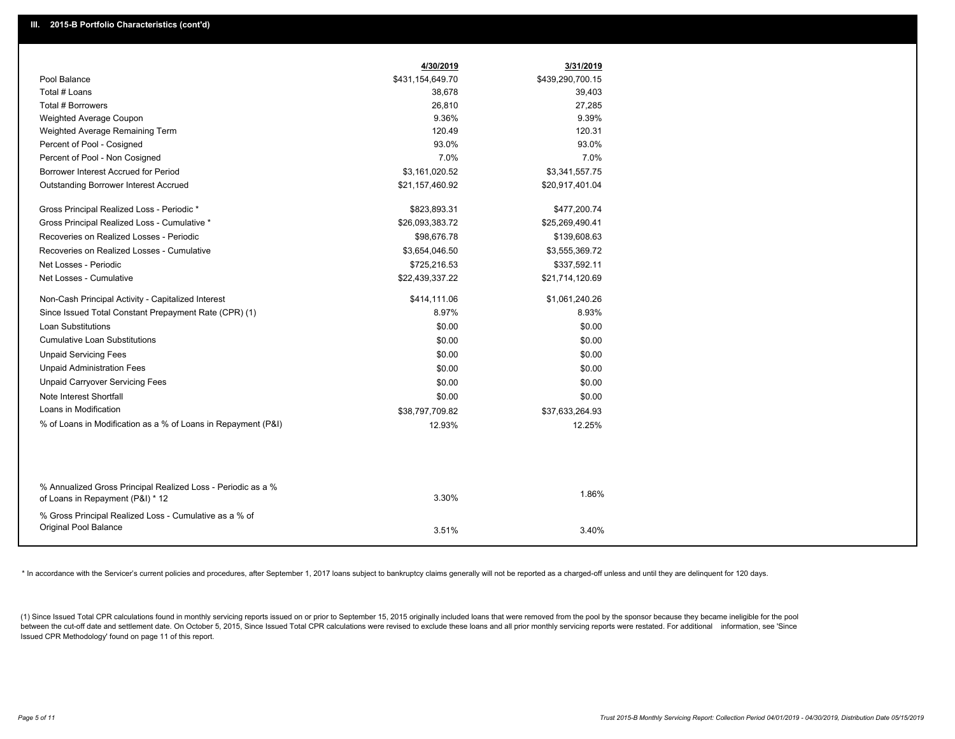|                                                                                                  | 4/30/2019        | 3/31/2019        |
|--------------------------------------------------------------------------------------------------|------------------|------------------|
| Pool Balance                                                                                     | \$431,154,649.70 | \$439,290,700.15 |
| Total # Loans                                                                                    | 38,678           | 39,403           |
| Total # Borrowers                                                                                | 26,810           | 27,285           |
| Weighted Average Coupon                                                                          | 9.36%            | 9.39%            |
| Weighted Average Remaining Term                                                                  | 120.49           | 120.31           |
| Percent of Pool - Cosigned                                                                       | 93.0%            | 93.0%            |
| Percent of Pool - Non Cosigned                                                                   | 7.0%             | 7.0%             |
| Borrower Interest Accrued for Period                                                             | \$3,161,020.52   | \$3,341,557.75   |
| Outstanding Borrower Interest Accrued                                                            | \$21,157,460.92  | \$20,917,401.04  |
| Gross Principal Realized Loss - Periodic *                                                       | \$823,893.31     | \$477,200.74     |
| Gross Principal Realized Loss - Cumulative *                                                     | \$26,093,383.72  | \$25,269,490.41  |
| Recoveries on Realized Losses - Periodic                                                         | \$98,676.78      | \$139,608.63     |
| Recoveries on Realized Losses - Cumulative                                                       | \$3,654,046.50   | \$3,555,369.72   |
| Net Losses - Periodic                                                                            | \$725,216.53     | \$337,592.11     |
| Net Losses - Cumulative                                                                          | \$22,439,337.22  | \$21,714,120.69  |
| Non-Cash Principal Activity - Capitalized Interest                                               | \$414,111.06     | \$1,061,240.26   |
| Since Issued Total Constant Prepayment Rate (CPR) (1)                                            | 8.97%            | 8.93%            |
| <b>Loan Substitutions</b>                                                                        | \$0.00           | \$0.00           |
| <b>Cumulative Loan Substitutions</b>                                                             | \$0.00           | \$0.00           |
| <b>Unpaid Servicing Fees</b>                                                                     | \$0.00           | \$0.00           |
| <b>Unpaid Administration Fees</b>                                                                | \$0.00           | \$0.00           |
| <b>Unpaid Carryover Servicing Fees</b>                                                           | \$0.00           | \$0.00           |
| Note Interest Shortfall                                                                          | \$0.00           | \$0.00           |
| Loans in Modification                                                                            | \$38,797,709.82  | \$37,633,264.93  |
| % of Loans in Modification as a % of Loans in Repayment (P&I)                                    | 12.93%           | 12.25%           |
|                                                                                                  |                  |                  |
|                                                                                                  |                  |                  |
| % Annualized Gross Principal Realized Loss - Periodic as a %<br>of Loans in Repayment (P&I) * 12 | 3.30%            | 1.86%            |
| % Gross Principal Realized Loss - Cumulative as a % of                                           |                  |                  |
| Original Pool Balance                                                                            | 3.51%            | 3.40%            |
|                                                                                                  |                  |                  |

\* In accordance with the Servicer's current policies and procedures, after September 1, 2017 loans subject to bankruptcy claims generally will not be reported as a charged-off unless and until they are delinquent for 120 d

(1) Since Issued Total CPR calculations found in monthly servicing reports issued on or prior to September 15, 2015 originally included loans that were removed from the pool by the sponsor because they became ineligible fo between the cut-off date and settlement date. On October 5, 2015, Since Issued Total CPR calculations were revised to exclude these loans and all prior monthly servicing reports were restated. For additional information, s Issued CPR Methodology' found on page 11 of this report.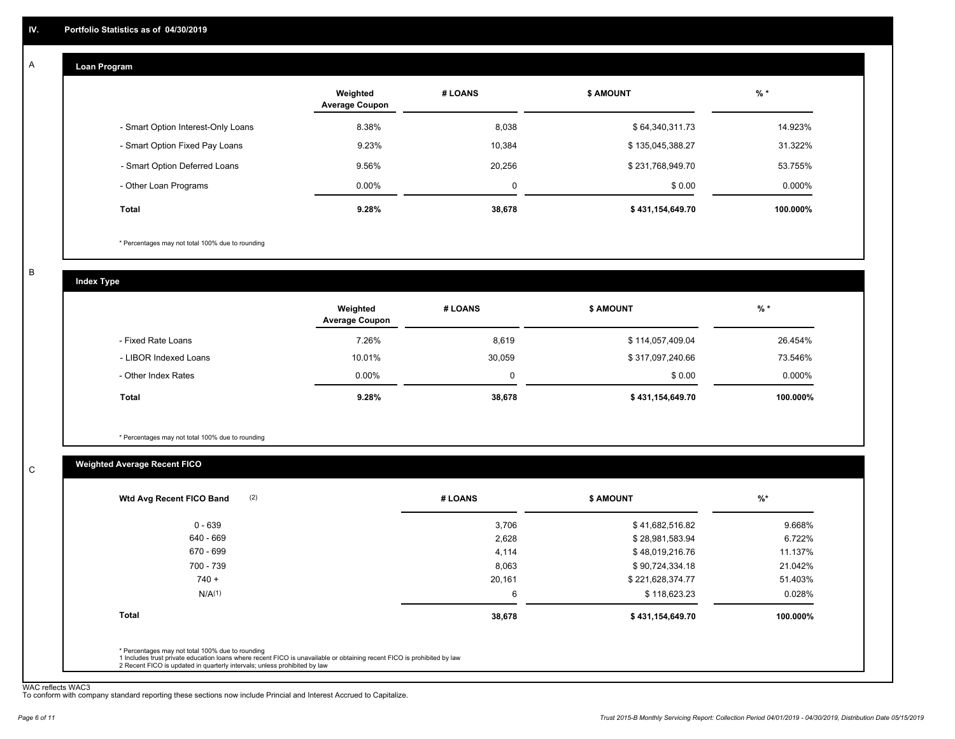#### **Loan Program**  A

|                                    | Weighted<br><b>Average Coupon</b> | # LOANS | <b>\$ AMOUNT</b> | $%$ *    |
|------------------------------------|-----------------------------------|---------|------------------|----------|
| - Smart Option Interest-Only Loans | 8.38%                             | 8,038   | \$64,340,311.73  | 14.923%  |
| - Smart Option Fixed Pay Loans     | 9.23%                             | 10,384  | \$135,045,388.27 | 31.322%  |
| - Smart Option Deferred Loans      | 9.56%                             | 20,256  | \$231,768,949.70 | 53.755%  |
| - Other Loan Programs              | $0.00\%$                          | 0       | \$0.00           | 0.000%   |
| Total                              | 9.28%                             | 38,678  | \$431,154,649.70 | 100.000% |

\* Percentages may not total 100% due to rounding

B

C

**Index Type**

|                       | Weighted<br><b>Average Coupon</b> | # LOANS | <b>\$ AMOUNT</b> | %        |
|-----------------------|-----------------------------------|---------|------------------|----------|
| - Fixed Rate Loans    | 7.26%                             | 8,619   | \$114,057,409.04 | 26.454%  |
| - LIBOR Indexed Loans | 10.01%                            | 30,059  | \$317,097,240.66 | 73.546%  |
| - Other Index Rates   | $0.00\%$                          | 0       | \$0.00           | 0.000%   |
| Total                 | 9.28%                             | 38,678  | \$431,154,649.70 | 100.000% |

\* Percentages may not total 100% due to rounding

### **Weighted Average Recent FICO**

| \$41,682,516.82  | 9.668%   |
|------------------|----------|
|                  |          |
| \$28,981,583.94  | 6.722%   |
| \$48,019,216.76  | 11.137%  |
| \$90,724,334.18  | 21.042%  |
| \$221,628,374.77 | 51.403%  |
| \$118,623.23     | 0.028%   |
| \$431,154,649.70 | 100.000% |
|                  |          |

WAC reflects WAC3 To conform with company standard reporting these sections now include Princial and Interest Accrued to Capitalize.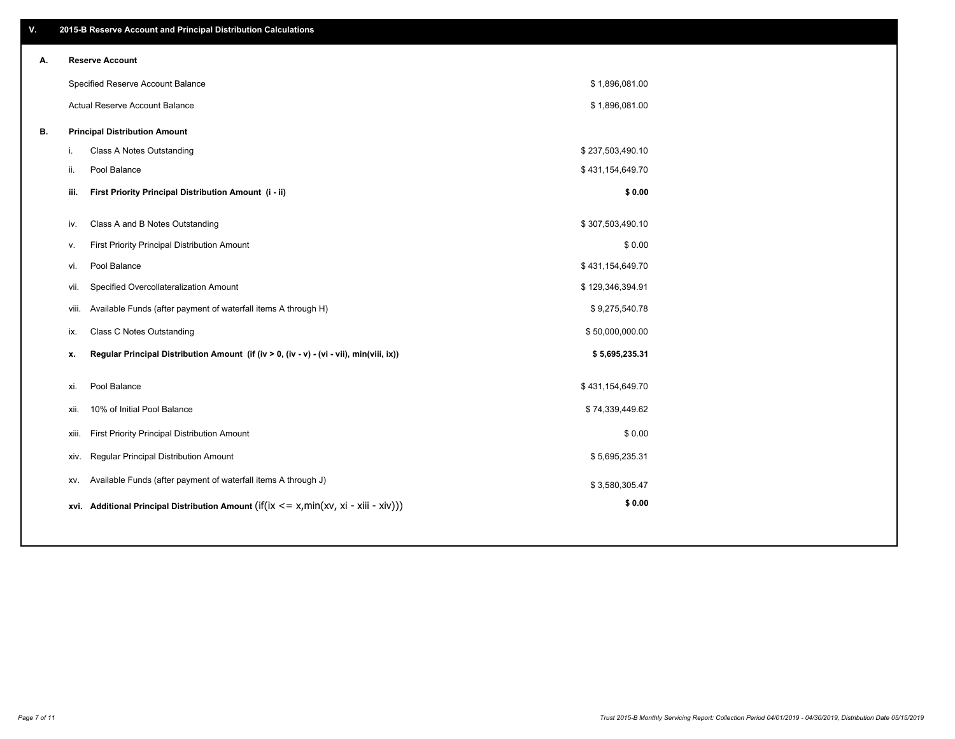| ۷. |     | 2015-B Reserve Account and Principal Distribution Calculations                                 |                  |  |
|----|-----|------------------------------------------------------------------------------------------------|------------------|--|
| А. |     | <b>Reserve Account</b>                                                                         |                  |  |
|    |     | Specified Reserve Account Balance                                                              | \$1,896,081.00   |  |
|    |     | Actual Reserve Account Balance                                                                 | \$1,896,081.00   |  |
| В. |     | <b>Principal Distribution Amount</b>                                                           |                  |  |
|    | i.  | Class A Notes Outstanding                                                                      | \$237,503,490.10 |  |
|    | ii. | Pool Balance                                                                                   | \$431,154,649.70 |  |
|    |     | First Priority Principal Distribution Amount (i - ii)<br>iii.                                  | \$0.00           |  |
|    |     |                                                                                                |                  |  |
|    |     | Class A and B Notes Outstanding<br>iv.                                                         | \$307,503,490.10 |  |
|    |     | First Priority Principal Distribution Amount<br>v.                                             | \$0.00           |  |
|    |     | Pool Balance<br>vi.                                                                            | \$431,154,649.70 |  |
|    |     | Specified Overcollateralization Amount<br>vii.                                                 | \$129,346,394.91 |  |
|    |     | Available Funds (after payment of waterfall items A through H)<br>viii.                        | \$9,275,540.78   |  |
|    |     | <b>Class C Notes Outstanding</b><br>ix.                                                        | \$50,000,000.00  |  |
|    |     | Regular Principal Distribution Amount (if (iv > 0, (iv - v) - (vi - vii), min(viii, ix))<br>х. | \$5,695,235.31   |  |
|    |     | Pool Balance<br>xi.                                                                            | \$431,154,649.70 |  |
|    |     | 10% of Initial Pool Balance<br>xii.                                                            | \$74,339,449.62  |  |
|    |     |                                                                                                |                  |  |
|    |     | First Priority Principal Distribution Amount<br>xiii.                                          | \$0.00           |  |
|    |     | Regular Principal Distribution Amount<br>XIV.                                                  | \$5,695,235.31   |  |
|    |     | Available Funds (after payment of waterfall items A through J)<br>XV.                          | \$3,580,305.47   |  |
|    |     | xvi. Additional Principal Distribution Amount (if(ix $\lt$ = x, min(xv, xi - xiii - xiv)))     | \$0.00           |  |
|    |     |                                                                                                |                  |  |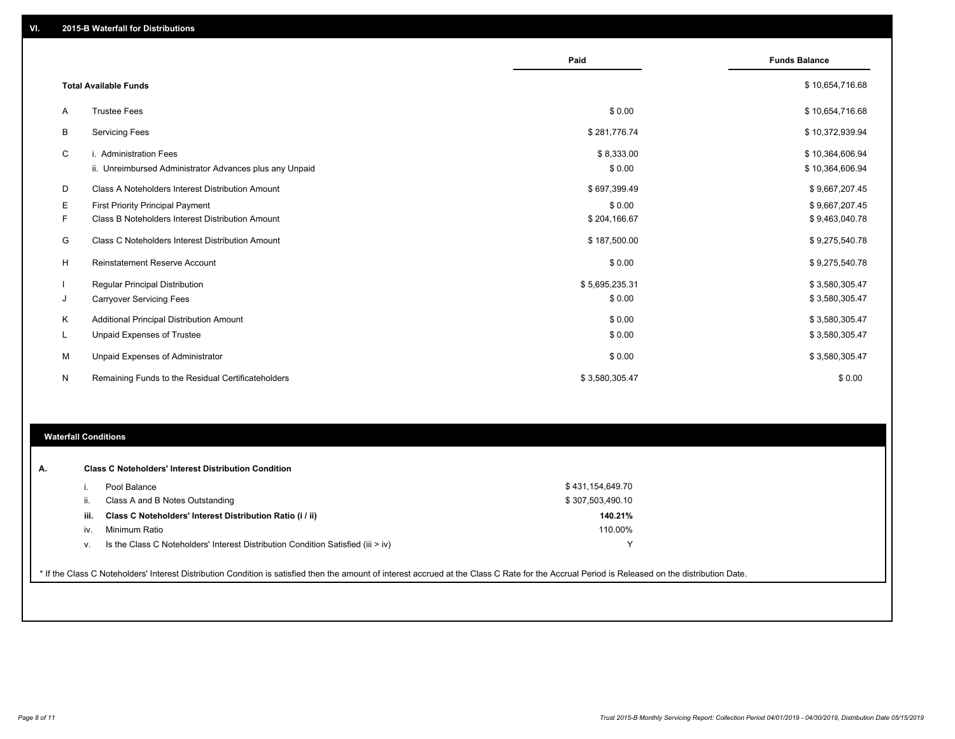|        |                                                                                             | Paid                     | <b>Funds Balance</b>               |
|--------|---------------------------------------------------------------------------------------------|--------------------------|------------------------------------|
|        | <b>Total Available Funds</b>                                                                |                          | \$10,654,716.68                    |
| A      | <b>Trustee Fees</b>                                                                         | \$0.00                   | \$10,654,716.68                    |
| В      | <b>Servicing Fees</b>                                                                       | \$281,776.74             | \$10,372,939.94                    |
| C      | i. Administration Fees<br>ii. Unreimbursed Administrator Advances plus any Unpaid           | \$8,333.00<br>\$0.00     | \$10,364,606.94<br>\$10,364,606.94 |
| D      | Class A Noteholders Interest Distribution Amount                                            | \$697,399.49             | \$9,667,207.45                     |
| Е<br>F | <b>First Priority Principal Payment</b><br>Class B Noteholders Interest Distribution Amount | \$0.00<br>\$204,166.67   | \$9,667,207.45<br>\$9,463,040.78   |
| G      | Class C Noteholders Interest Distribution Amount                                            | \$187,500.00             | \$9,275,540.78                     |
| Н      | <b>Reinstatement Reserve Account</b>                                                        | \$0.00                   | \$9,275,540.78                     |
| J      | <b>Regular Principal Distribution</b><br><b>Carryover Servicing Fees</b>                    | \$5,695,235.31<br>\$0.00 | \$3,580,305.47<br>\$3,580,305.47   |
| K      | Additional Principal Distribution Amount<br>Unpaid Expenses of Trustee                      | \$0.00<br>\$0.00         | \$3,580,305.47<br>\$3,580,305.47   |
| м      | Unpaid Expenses of Administrator                                                            | \$0.00                   | \$3,580,305.47                     |
| N      | Remaining Funds to the Residual Certificateholders                                          | \$3,580,305.47           | \$0.00                             |

### **Waterfall Conditions**

| А. |      | <b>Class C Noteholders' Interest Distribution Condition</b>                                                                                                                                     |                  |  |
|----|------|-------------------------------------------------------------------------------------------------------------------------------------------------------------------------------------------------|------------------|--|
|    |      | Pool Balance                                                                                                                                                                                    | \$431,154,649.70 |  |
|    |      | Class A and B Notes Outstanding                                                                                                                                                                 | \$307,503,490.10 |  |
|    | iii. | Class C Noteholders' Interest Distribution Ratio (i / ii)                                                                                                                                       | 140.21%          |  |
|    | iv.  | Minimum Ratio                                                                                                                                                                                   | 110.00%          |  |
|    |      | Is the Class C Noteholders' Interest Distribution Condition Satisfied (iii > iv)                                                                                                                | v                |  |
|    |      | * If the Class C Noteholders' Interest Distribution Condition is satisfied then the amount of interest accrued at the Class C Rate for the Accrual Period is Released on the distribution Date. |                  |  |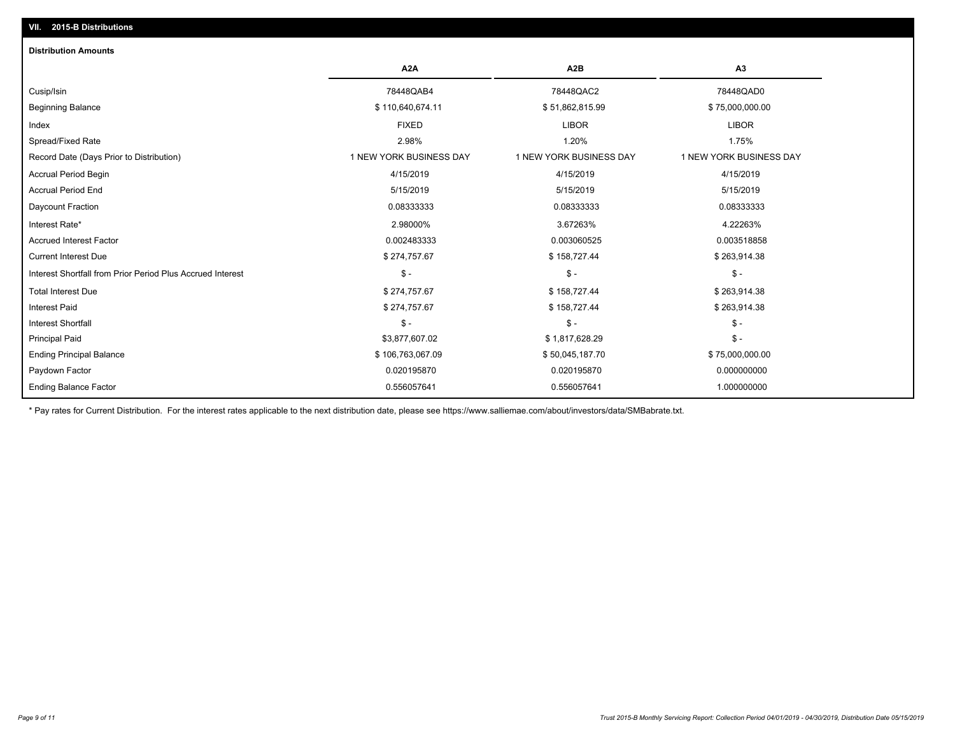### **VII. 2015-B Distributions**

| <b>Distribution Amounts</b>                                |                         |                         |                         |
|------------------------------------------------------------|-------------------------|-------------------------|-------------------------|
|                                                            | A <sub>2</sub> A        | A <sub>2</sub> B        | A3                      |
| Cusip/Isin                                                 | 78448QAB4               | 78448QAC2               | 78448QAD0               |
| <b>Beginning Balance</b>                                   | \$110,640,674.11        | \$51,862,815.99         | \$75,000,000.00         |
| Index                                                      | <b>FIXED</b>            | <b>LIBOR</b>            | <b>LIBOR</b>            |
| Spread/Fixed Rate                                          | 2.98%                   | 1.20%                   | 1.75%                   |
| Record Date (Days Prior to Distribution)                   | 1 NEW YORK BUSINESS DAY | 1 NEW YORK BUSINESS DAY | 1 NEW YORK BUSINESS DAY |
| <b>Accrual Period Begin</b>                                | 4/15/2019               | 4/15/2019               | 4/15/2019               |
| <b>Accrual Period End</b>                                  | 5/15/2019               | 5/15/2019               | 5/15/2019               |
| Daycount Fraction                                          | 0.08333333              | 0.08333333              | 0.08333333              |
| Interest Rate*                                             | 2.98000%                | 3.67263%                | 4.22263%                |
| <b>Accrued Interest Factor</b>                             | 0.002483333             | 0.003060525             | 0.003518858             |
| <b>Current Interest Due</b>                                | \$274,757.67            | \$158,727.44            | \$263,914.38            |
| Interest Shortfall from Prior Period Plus Accrued Interest | $\mathsf{\$}$ -         | $\mathsf{\$}$ -         | $\mathsf{\$}$ -         |
| <b>Total Interest Due</b>                                  | \$274,757.67            | \$158,727.44            | \$263,914.38            |
| <b>Interest Paid</b>                                       | \$274,757.67            | \$158,727.44            | \$263,914.38            |
| <b>Interest Shortfall</b>                                  | $\frac{1}{2}$           | $\mathsf{\$}$ -         | $\mathcal{S}$ -         |
| <b>Principal Paid</b>                                      | \$3,877,607.02          | \$1,817,628.29          | $\mathsf{\$}$ -         |
| <b>Ending Principal Balance</b>                            | \$106,763,067.09        | \$50,045,187.70         | \$75,000,000.00         |
| Paydown Factor                                             | 0.020195870             | 0.020195870             | 0.000000000             |
| <b>Ending Balance Factor</b>                               | 0.556057641             | 0.556057641             | 1.000000000             |

\* Pay rates for Current Distribution. For the interest rates applicable to the next distribution date, please see https://www.salliemae.com/about/investors/data/SMBabrate.txt.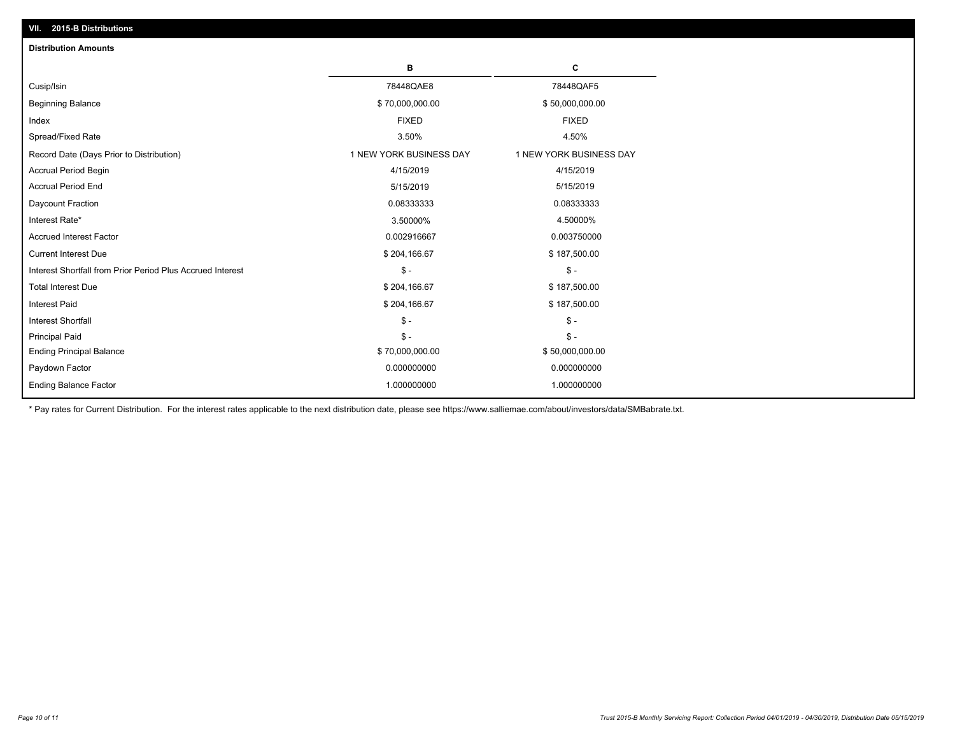| <b>Distribution Amounts</b>                                |                         |                         |
|------------------------------------------------------------|-------------------------|-------------------------|
|                                                            | в                       | С                       |
| Cusip/Isin                                                 | 78448QAE8               | 78448QAF5               |
| <b>Beginning Balance</b>                                   | \$70,000,000.00         | \$50,000,000.00         |
| Index                                                      | <b>FIXED</b>            | <b>FIXED</b>            |
| Spread/Fixed Rate                                          | 3.50%                   | 4.50%                   |
| Record Date (Days Prior to Distribution)                   | 1 NEW YORK BUSINESS DAY | 1 NEW YORK BUSINESS DAY |
| <b>Accrual Period Begin</b>                                | 4/15/2019               | 4/15/2019               |
| <b>Accrual Period End</b>                                  | 5/15/2019               | 5/15/2019               |
| Daycount Fraction                                          | 0.08333333              | 0.08333333              |
| Interest Rate*                                             | 3.50000%                | 4.50000%                |
| <b>Accrued Interest Factor</b>                             | 0.002916667             | 0.003750000             |
| <b>Current Interest Due</b>                                | \$204,166.67            | \$187,500.00            |
| Interest Shortfall from Prior Period Plus Accrued Interest | $\mathsf{\$}$ -         | $\frac{1}{2}$           |
| <b>Total Interest Due</b>                                  | \$204,166.67            | \$187,500.00            |
| Interest Paid                                              | \$204,166.67            | \$187,500.00            |
| <b>Interest Shortfall</b>                                  | $\mathcal{S}$ -         | $\frac{1}{2}$           |
| <b>Principal Paid</b>                                      | $\mathsf{\$}$ -         | $\mathsf{\$}$ -         |
| <b>Ending Principal Balance</b>                            | \$70,000,000.00         | \$50,000,000.00         |
| Paydown Factor                                             | 0.000000000             | 0.000000000             |
| <b>Ending Balance Factor</b>                               | 1.000000000             | 1.000000000             |

\* Pay rates for Current Distribution. For the interest rates applicable to the next distribution date, please see https://www.salliemae.com/about/investors/data/SMBabrate.txt.

**VII. 2015-B Distributions**